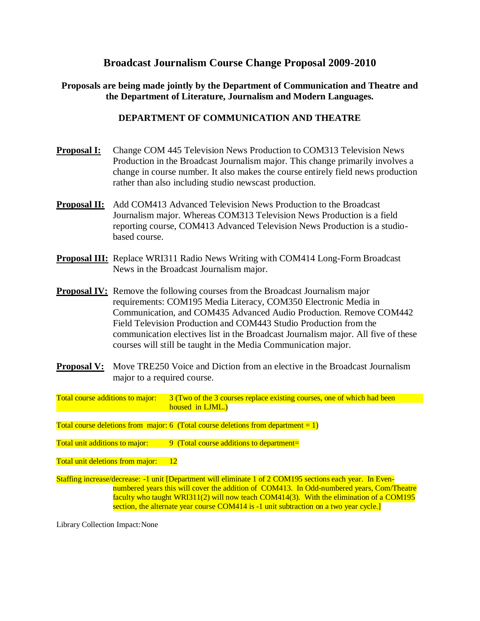# **Broadcast Journalism Course Change Proposal 2009-2010**

## **Proposals are being made jointly by the Department of Communication and Theatre and the Department of Literature, Journalism and Modern Languages.**

# **DEPARTMENT OF COMMUNICATION AND THEATRE**

- **Proposal I:** Change COM 445 Television News Production to COM313 Television News Production in the Broadcast Journalism major. This change primarily involves a change in course number. It also makes the course entirely field news production rather than also including studio newscast production.
- **Proposal II:** Add COM413 Advanced Television News Production to the Broadcast Journalism major. Whereas COM313 Television News Production is a field reporting course, COM413 Advanced Television News Production is a studiobased course.
- **Proposal III:** Replace WRI311 Radio News Writing with COM414 Long-Form Broadcast News in the Broadcast Journalism major.
- **Proposal IV:** Remove the following courses from the Broadcast Journalism major requirements: COM195 Media Literacy, COM350 Electronic Media in Communication, and COM435 Advanced Audio Production. Remove COM442 Field Television Production and COM443 Studio Production from the communication electives list in the Broadcast Journalism major. All five of these courses will still be taught in the Media Communication major.
- **Proposal V:** Move TRE250 Voice and Diction from an elective in the Broadcast Journalism major to a required course.

Total course additions to major: 3 (Two of the 3 courses replace existing courses, one of which had been housed in LJML.)

Total course deletions from major: 6 (Total course deletions from department =  $1$ )

Total unit additions to major:  $\qquad \qquad$  9 (Total course additions to department=

Total unit deletions from major: 12

Staffing increase/decrease: -1 unit [Department will eliminate 1 of 2 COM195 sections each year. In Evennumbered years this will cover the addition of COM413. In Odd-numbered years, Com/Theatre faculty who taught WRI311(2) will now teach COM414(3). With the elimination of a COM195 section, the alternate year course COM414 is -1 unit subtraction on a two year cycle.

Library Collection Impact:None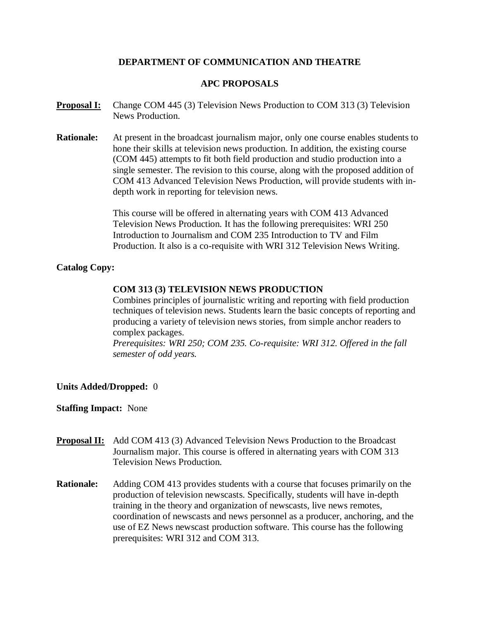# **DEPARTMENT OF COMMUNICATION AND THEATRE**

## **APC PROPOSALS**

- **Proposal I:** Change COM 445 (3) Television News Production to COM 313 (3) Television News Production.
- **Rationale:** At present in the broadcast journalism major, only one course enables students to hone their skills at television news production. In addition, the existing course (COM 445) attempts to fit both field production and studio production into a single semester. The revision to this course, along with the proposed addition of COM 413 Advanced Television News Production, will provide students with indepth work in reporting for television news.

This course will be offered in alternating years with COM 413 Advanced Television News Production. It has the following prerequisites: WRI 250 Introduction to Journalism and COM 235 Introduction to TV and Film Production. It also is a co-requisite with WRI 312 Television News Writing.

### **Catalog Copy:**

### **COM 313 (3) TELEVISION NEWS PRODUCTION**

Combines principles of journalistic writing and reporting with field production techniques of television news. Students learn the basic concepts of reporting and producing a variety of television news stories, from simple anchor readers to complex packages.

*Prerequisites: WRI 250; COM 235. Co-requisite: WRI 312. Offered in the fall semester of odd years.*

### **Units Added/Dropped:** 0

- **Proposal II:** Add COM 413 (3) Advanced Television News Production to the Broadcast Journalism major. This course is offered in alternating years with COM 313 Television News Production.
- **Rationale:** Adding COM 413 provides students with a course that focuses primarily on the production of television newscasts. Specifically, students will have in-depth training in the theory and organization of newscasts, live news remotes, coordination of newscasts and news personnel as a producer, anchoring, and the use of EZ News newscast production software. This course has the following prerequisites: WRI 312 and COM 313.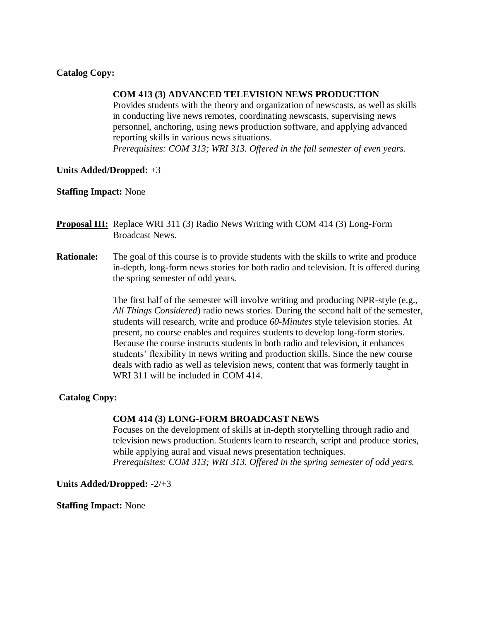### **Catalog Copy:**

#### **COM 413 (3) ADVANCED TELEVISION NEWS PRODUCTION**

Provides students with the theory and organization of newscasts, as well as skills in conducting live news remotes, coordinating newscasts, supervising news personnel, anchoring, using news production software, and applying advanced reporting skills in various news situations.

*Prerequisites: COM 313; WRI 313. Offered in the fall semester of even years.*

### **Units Added/Dropped:** +3

### **Staffing Impact:** None

- **Proposal III:** Replace WRI 311 (3) Radio News Writing with COM 414 (3) Long-Form Broadcast News.
- **Rationale:** The goal of this course is to provide students with the skills to write and produce in-depth, long-form news stories for both radio and television. It is offered during the spring semester of odd years.

The first half of the semester will involve writing and producing NPR-style (e.g., *All Things Considered*) radio news stories. During the second half of the semester, students will research, write and produce *60-Minutes* style television stories. At present, no course enables and requires students to develop long-form stories. Because the course instructs students in both radio and television, it enhances students' flexibility in news writing and production skills. Since the new course deals with radio as well as television news, content that was formerly taught in WRI 311 will be included in COM 414.

### **Catalog Copy:**

#### **COM 414 (3) LONG-FORM BROADCAST NEWS**

Focuses on the development of skills at in-depth storytelling through radio and television news production. Students learn to research, script and produce stories, while applying aural and visual news presentation techniques.

*Prerequisites: COM 313; WRI 313. Offered in the spring semester of odd years.*

**Units Added/Dropped:** -2/+3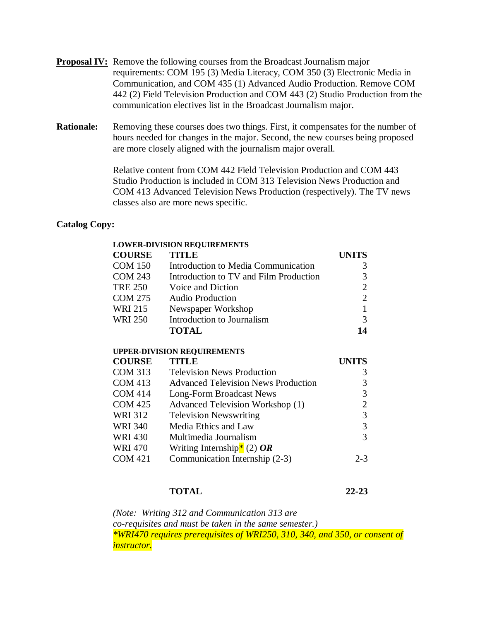- **Proposal IV:** Remove the following courses from the Broadcast Journalism major requirements: COM 195 (3) Media Literacy, COM 350 (3) Electronic Media in Communication, and COM 435 (1) Advanced Audio Production. Remove COM 442 (2) Field Television Production and COM 443 (2) Studio Production from the communication electives list in the Broadcast Journalism major.
- **Rationale:** Removing these courses does two things. First, it compensates for the number of hours needed for changes in the major. Second, the new courses being proposed are more closely aligned with the journalism major overall.

Relative content from COM 442 Field Television Production and COM 443 Studio Production is included in COM 313 Television News Production and COM 413 Advanced Television News Production (respectively). The TV news classes also are more news specific.

### **Catalog Copy:**

|                | <b>LOWER-DIVISION REQUIREMENTS</b>         |                |
|----------------|--------------------------------------------|----------------|
| <b>COURSE</b>  | TITLE                                      | <b>UNITS</b>   |
| <b>COM 150</b> | Introduction to Media Communication        | 3              |
| <b>COM 243</b> | Introduction to TV and Film Production     | 3              |
| <b>TRE 250</b> | Voice and Diction                          | 2              |
| COM 275        | <b>Audio Production</b>                    | $\overline{2}$ |
| WRI 215        | Newspaper Workshop                         | 1              |
| WRI 250        | Introduction to Journalism                 | 3              |
|                | <b>TOTAL</b>                               | 14             |
|                | <b>UPPER-DIVISION REQUIREMENTS</b>         |                |
| <b>COURSE</b>  | TITLE                                      | <b>UNITS</b>   |
| COM 313        | <b>Television News Production</b>          | 3              |
| COM 413        | <b>Advanced Television News Production</b> | 3              |
| <b>COM 414</b> | Long-Form Broadcast News                   | 3              |
| <b>COM 425</b> | Advanced Television Workshop (1)           | 2              |
| WRI 312        | <b>Television Newswriting</b>              | 3              |
| WRI 340        | Media Ethics and Law                       | 3              |
| WRI 430        | Multimedia Journalism                      | 3              |
| WRI 470        | Writing Internship <sup>*</sup> (2) OR     |                |
| <b>COM 421</b> | Communication Internship (2-3)             | $2 - 3$        |
|                |                                            |                |

# **TOTAL 22-23**

*(Note: Writing 312 and Communication 313 are co-requisites and must be taken in the same semester.) \*WRI470 requires prerequisites of WRI250, 310, 340, and 350, or consent of instructor.*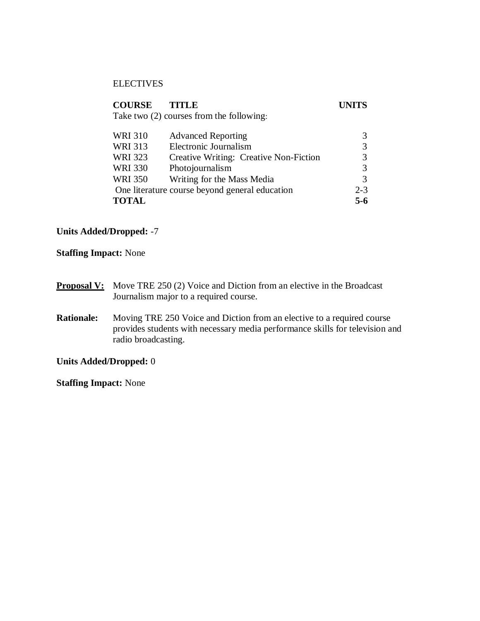### **ELECTIVES**

| <b>COURSE</b>                                  | TITLE                                    | UNITS   |
|------------------------------------------------|------------------------------------------|---------|
|                                                | Take two (2) courses from the following: |         |
|                                                |                                          |         |
| <b>WRI 310</b>                                 | <b>Advanced Reporting</b>                | 3       |
| <b>WRI 313</b>                                 | Electronic Journalism                    | 3       |
| <b>WRI 323</b>                                 | Creative Writing: Creative Non-Fiction   |         |
| <b>WRI 330</b>                                 | Photojournalism                          | 3       |
| <b>WRI 350</b>                                 | Writing for the Mass Media               | 3       |
| One literature course beyond general education |                                          | $2 - 3$ |
| <b>TOTAL</b>                                   |                                          | 5-6     |

# **Units Added/Dropped:** -7

**Staffing Impact:** None

- **Proposal V:** Move TRE 250 (2) Voice and Diction from an elective in the Broadcast Journalism major to a required course.
- **Rationale:** Moving TRE 250 Voice and Diction from an elective to a required course provides students with necessary media performance skills for television and radio broadcasting.

**Units Added/Dropped:** 0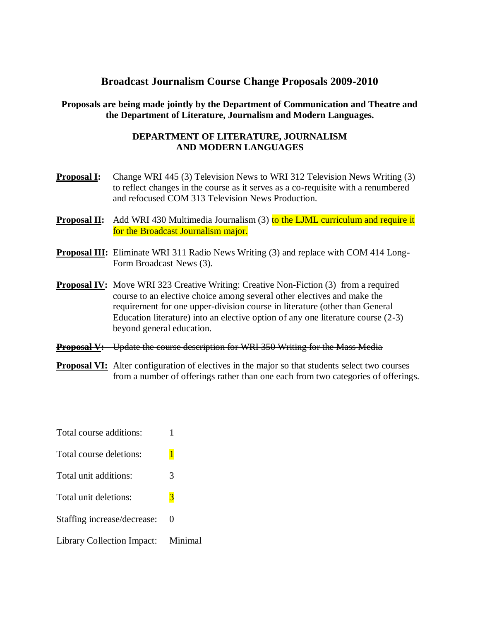# **Broadcast Journalism Course Change Proposals 2009-2010**

# **Proposals are being made jointly by the Department of Communication and Theatre and the Department of Literature, Journalism and Modern Languages.**

## **DEPARTMENT OF LITERATURE, JOURNALISM AND MODERN LANGUAGES**

- **Proposal I:** Change WRI 445 (3) Television News to WRI 312 Television News Writing (3) to reflect changes in the course as it serves as a co-requisite with a renumbered and refocused COM 313 Television News Production.
- **Proposal II:** Add WRI 430 Multimedia Journalism (3) to the LJML curriculum and require it for the Broadcast Journalism major.
- **Proposal III:** Eliminate WRI 311 Radio News Writing (3) and replace with COM 414 Long-Form Broadcast News (3).
- **Proposal IV:** Move WRI 323 Creative Writing: Creative Non-Fiction (3) from a required course to an elective choice among several other electives and make the requirement for one upper-division course in literature (other than General Education literature) into an elective option of any one literature course (2-3) beyond general education.
- **Proposal V:** Update the course description for WRI 350 Writing for the Mass Media
- **Proposal VI:** Alter configuration of electives in the major so that students select two courses from a number of offerings rather than one each from two categories of offerings.
- Total course additions: 1 Total course deletions: 1 Total unit additions: 3 Total unit deletions: 3 Staffing increase/decrease: 0 Library Collection Impact: Minimal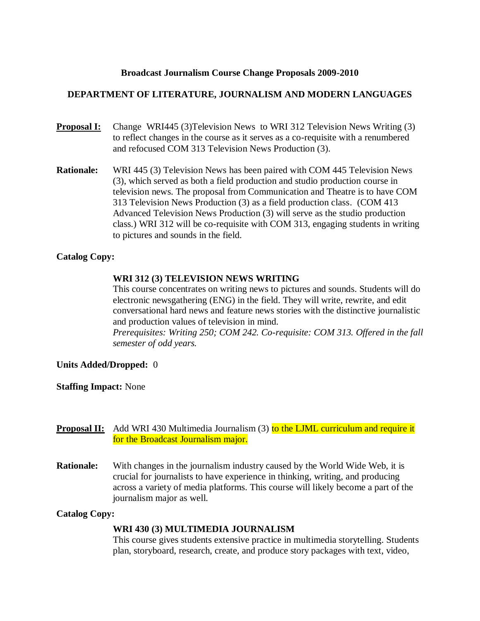### **Broadcast Journalism Course Change Proposals 2009-2010**

### **DEPARTMENT OF LITERATURE, JOURNALISM AND MODERN LANGUAGES**

- **Proposal I:** Change WRI445 (3)Television News to WRI 312 Television News Writing (3) to reflect changes in the course as it serves as a co-requisite with a renumbered and refocused COM 313 Television News Production (3).
- **Rationale:** WRI 445 (3) Television News has been paired with COM 445 Television News (3), which served as both a field production and studio production course in television news. The proposal from Communication and Theatre is to have COM 313 Television News Production (3) as a field production class. (COM 413 Advanced Television News Production (3) will serve as the studio production class.) WRI 312 will be co-requisite with COM 313, engaging students in writing to pictures and sounds in the field.

### **Catalog Copy:**

### **WRI 312 (3) TELEVISION NEWS WRITING**

This course concentrates on writing news to pictures and sounds. Students will do electronic newsgathering (ENG) in the field. They will write, rewrite, and edit conversational hard news and feature news stories with the distinctive journalistic and production values of television in mind.

*Prerequisites: Writing 250; COM 242. Co-requisite: COM 313. Offered in the fall semester of odd years.*

### **Units Added/Dropped:** 0

### **Staffing Impact:** None

- **Proposal II:** Add WRI 430 Multimedia Journalism (3) to the LJML curriculum and require it for the Broadcast Journalism major.
- **Rationale:** With changes in the journalism industry caused by the World Wide Web, it is crucial for journalists to have experience in thinking, writing, and producing across a variety of media platforms. This course will likely become a part of the journalism major as well.

### **Catalog Copy:**

### **WRI 430 (3) MULTIMEDIA JOURNALISM**

This course gives students extensive practice in multimedia storytelling. Students plan, storyboard, research, create, and produce story packages with text, video,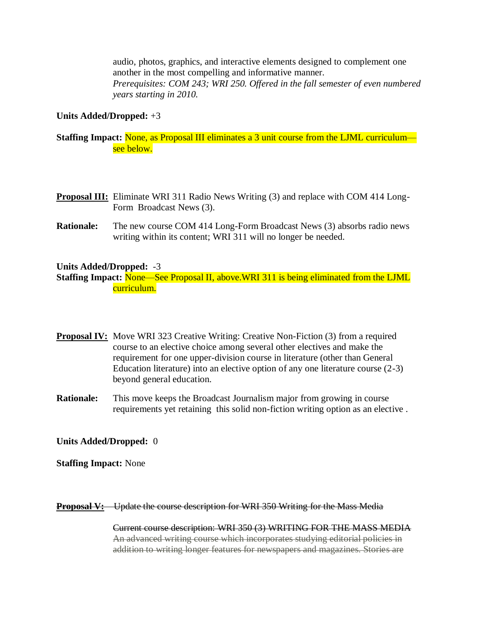audio, photos, graphics, and interactive elements designed to complement one another in the most compelling and informative manner. *Prerequisites: COM 243; WRI 250. Offered in the fall semester of even numbered years starting in 2010.*

### **Units Added/Dropped:** +3

## **Staffing Impact:** None, as Proposal III eliminates a 3 unit course from the LJML curriculum see below.

- **Proposal III:** Eliminate WRI 311 Radio News Writing (3) and replace with COM 414 Long-Form Broadcast News (3).
- **Rationale:** The new course COM 414 Long-Form Broadcast News (3) absorbs radio news writing within its content; WRI 311 will no longer be needed.

### **Units Added/Dropped:** -3

**Staffing Impact:** None—See Proposal II, above.WRI 311 is being eliminated from the LJML curriculum.

- **Proposal IV:** Move WRI 323 Creative Writing: Creative Non-Fiction (3) from a required course to an elective choice among several other electives and make the requirement for one upper-division course in literature (other than General Education literature) into an elective option of any one literature course (2-3) beyond general education.
- **Rationale:** This move keeps the Broadcast Journalism major from growing in course requirements yet retaining this solid non-fiction writing option as an elective .

### **Units Added/Dropped:** 0

**Staffing Impact:** None

**Proposal V:** Update the course description for WRI 350 Writing for the Mass Media

Current course description: WRI 350 (3) WRITING FOR THE MASS MEDIA An advanced writing course which incorporates studying editorial policies in addition to writing longer features for newspapers and magazines. Stories are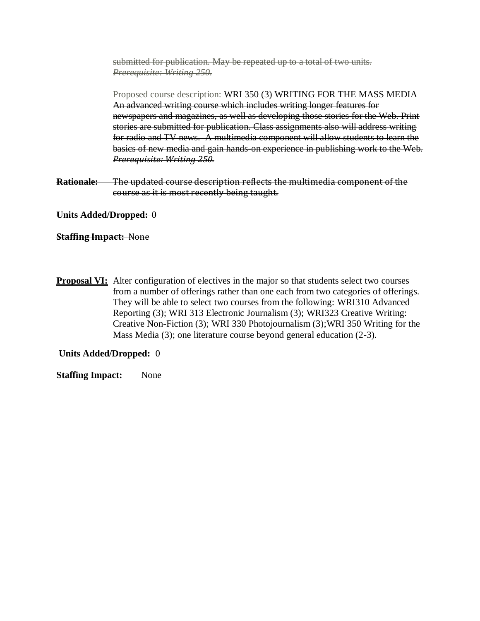submitted for publication. May be repeated up to a total of two units. *Prerequisite: Writing 250.*

Proposed course description: WRI 350 (3) WRITING FOR THE MASS MEDIA An advanced writing course which includes writing longer features for newspapers and magazines, as well as developing those stories for the Web. Print stories are submitted for publication. Class assignments also will address writing for radio and TV news. A multimedia component will allow students to learn the basics of new media and gain hands-on experience in publishing work to the Web. *Prerequisite: Writing 250.*

**Rationale:** The updated course description reflects the multimedia component of the course as it is most recently being taught.

### **Units Added/Dropped:** 0

### **Staffing Impact:** None

**Proposal VI:** Alter configuration of electives in the major so that students select two courses from a number of offerings rather than one each from two categories of offerings. They will be able to select two courses from the following: WRI310 Advanced Reporting (3); WRI 313 Electronic Journalism (3); WRI323 Creative Writing: Creative Non-Fiction (3); WRI 330 Photojournalism (3);WRI 350 Writing for the Mass Media (3); one literature course beyond general education (2-3).

### **Units Added/Dropped:** 0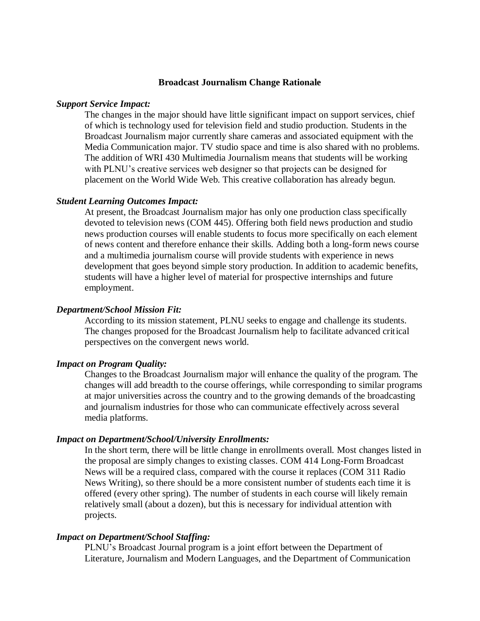#### **Broadcast Journalism Change Rationale**

#### *Support Service Impact:*

The changes in the major should have little significant impact on support services, chief of which is technology used for television field and studio production. Students in the Broadcast Journalism major currently share cameras and associated equipment with the Media Communication major. TV studio space and time is also shared with no problems. The addition of WRI 430 Multimedia Journalism means that students will be working with PLNU's creative services web designer so that projects can be designed for placement on the World Wide Web. This creative collaboration has already begun.

#### *Student Learning Outcomes Impact:*

At present, the Broadcast Journalism major has only one production class specifically devoted to television news (COM 445). Offering both field news production and studio news production courses will enable students to focus more specifically on each element of news content and therefore enhance their skills. Adding both a long-form news course and a multimedia journalism course will provide students with experience in news development that goes beyond simple story production. In addition to academic benefits, students will have a higher level of material for prospective internships and future employment.

#### *Department/School Mission Fit:*

According to its mission statement, PLNU seeks to engage and challenge its students. The changes proposed for the Broadcast Journalism help to facilitate advanced critical perspectives on the convergent news world.

### *Impact on Program Quality:*

Changes to the Broadcast Journalism major will enhance the quality of the program. The changes will add breadth to the course offerings, while corresponding to similar programs at major universities across the country and to the growing demands of the broadcasting and journalism industries for those who can communicate effectively across several media platforms.

#### *Impact on Department/School/University Enrollments:*

In the short term, there will be little change in enrollments overall. Most changes listed in the proposal are simply changes to existing classes. COM 414 Long-Form Broadcast News will be a required class, compared with the course it replaces (COM 311 Radio News Writing), so there should be a more consistent number of students each time it is offered (every other spring). The number of students in each course will likely remain relatively small (about a dozen), but this is necessary for individual attention with projects.

### *Impact on Department/School Staffing:*

PLNU's Broadcast Journal program is a joint effort between the Department of Literature, Journalism and Modern Languages, and the Department of Communication